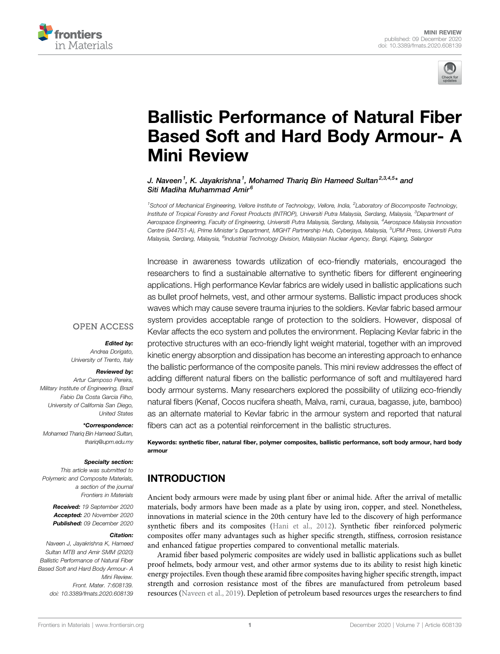



# [Ballistic Performance of Natural Fiber](https://www.frontiersin.org/articles/10.3389/fmats.2020.608139/full) [Based Soft and Hard Body Armour- A](https://www.frontiersin.org/articles/10.3389/fmats.2020.608139/full) [Mini Review](https://www.frontiersin.org/articles/10.3389/fmats.2020.608139/full)

### J. Naveen<sup>1</sup>. K. Javakrishna<sup>1</sup>. Mohamed Tharig Bin Hameed Sultan<sup>2,3,4,5</sup>\* and Siti Madiha Muhammad Amir<sup>6</sup>

<sup>1</sup>School of Mechanical Engineering, Vellore Institute of Technology, Vellore, India, <sup>2</sup>Laboratory of Biocomposite Technology, Institute of Tropical Forestry and Forest Products (INTROP), Universiti Putra Malaysia, Serdang, Malaysia, <sup>3</sup>Department oi Aerospace Engineering, Faculty of Engineering, Universiti Putra Malaysia, Serdang, Malaysia, <sup>4</sup>Aerospace Malaysia Innovation Centre (944751-A), Prime Minister's Department, MIGHT Partnership Hub, Cyberjaya, Malaysia, <sup>5</sup>UPM Press, Universiti Putra Malaysia, Serdang, Malaysia, <sup>6</sup>Industrial Technology Division, Malaysian Nuclear Agency, Bangi, Kajang, Selangor

Increase in awareness towards utilization of eco-friendly materials, encouraged the researchers to find a sustainable alternative to synthetic fibers for different engineering applications. High performance Kevlar fabrics are widely used in ballistic applications such as bullet proof helmets, vest, and other armour systems. Ballistic impact produces shock waves which may cause severe trauma injuries to the soldiers. Kevlar fabric based armour system provides acceptable range of protection to the soldiers. However, disposal of Kevlar affects the eco system and pollutes the environment. Replacing Kevlar fabric in the protective structures with an eco-friendly light weight material, together with an improved kinetic energy absorption and dissipation has become an interesting approach to enhance the ballistic performance of the composite panels. This mini review addresses the effect of adding different natural fibers on the ballistic performance of soft and multilayered hard body armour systems. Many researchers explored the possibility of utilizing eco-friendly natural fibers (Kenaf, Cocos nucifera sheath, Malva, rami, curaua, bagasse, jute, bamboo) as an alternate material to Kevlar fabric in the armour system and reported that natural fibers can act as a potential reinforcement in the ballistic structures.

Keywords: synthetic fiber, natural fiber, polymer composites, ballistic performance, soft body armour, hard body armour

# INTRODUCTION

Ancient body armours were made by using plant fiber or animal hide. After the arrival of metallic materials, body armors have been made as a plate by using iron, copper, and steel. Nonetheless, innovations in material science in the 20th century have led to the discovery of high performance synthetic fibers and its composites ([Hani et al., 2012](#page-4-0)). Synthetic fiber reinforced polymeric composites offer many advantages such as higher specific strength, stiffness, corrosion resistance and enhanced fatigue properties compared to conventional metallic materials.

Aramid fiber based polymeric composites are widely used in ballistic applications such as bullet proof helmets, body armour vest, and other armor systems due to its ability to resist high kinetic energy projectiles. Even though these aramid fibre composites having higher specific strength, impact strength and corrosion resistance most of the fibres are manufactured from petroleum based resources [\(Naveen et al., 2019\)](#page-5-0). Depletion of petroleum based resources urges the researchers to find

## **OPEN ACCESS**

#### Edited by:

Andrea Dorigato, University of Trento, Italy

#### Reviewed by:

Artur Camposo Pereira, Military Institute of Engineering, Brazil Fabio Da Costa Garcia Filho, University of California San Diego, United States

#### \*Correspondence:

Mohamed Thariq Bin Hameed Sultan, [thariq@upm.edu.my](mailto:thariq@upm.edu.my)

#### Specialty section:

This article was submitted to Polymeric and Composite Materials, a section of the journal Frontiers in Materials

> Received: 19 September 2020 Accepted: 20 November 2020 Published: 09 December 2020

#### Citation:

Naveen J, Jayakrishna K, Hameed Sultan MTB and Amir SMM (2020) Ballistic Performance of Natural Fiber Based Soft and Hard Body Armour- A Mini Review. Front. Mater. 7:608139. doi: [10.3389/fmats.2020.608139](https://doi.org/10.3389/fmats.2020.608139)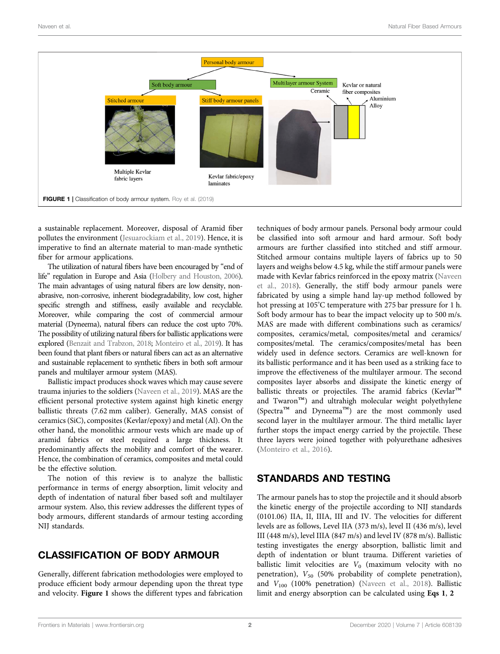

<span id="page-1-0"></span>a sustainable replacement. Moreover, disposal of Aramid fiber pollutes the environment ([Jesuarockiam et al., 2019](#page-4-1)). Hence, it is imperative to find an alternate material to man-made synthetic fiber for armour applications.

The utilization of natural fibers have been encouraged by "end of life" regulation in Europe and Asia [\(Holbery and Houston, 2006](#page-4-2)). The main advantages of using natural fibers are low density, nonabrasive, non-corrosive, inherent biodegradability, low cost, higher specific strength and stiffness, easily available and recyclable. Moreover, while comparing the cost of commercial armour material (Dyneema), natural fibers can reduce the cost upto 70%. The possibility of utilizing natural fibers for ballistic applications were explored [\(Benzait and Trabzon, 2018;](#page-4-3) [Monteiro et al., 2019\)](#page-5-1). It has been found that plant fibers or natural fibers can act as an alternative and sustainable replacement to synthetic fibers in both soft armour panels and multilayer armour system (MAS).

Ballistic impact produces shock waves which may cause severe trauma injuries to the soldiers ([Naveen et al., 2019](#page-5-0)). MAS are the efficient personal protective system against high kinetic energy ballistic threats (7.62 mm caliber). Generally, MAS consist of ceramics (SiC), composites (Kevlar/epoxy) and metal (Al). On the other hand, the monolithic armour vests which are made up of aramid fabrics or steel required a large thickness. It predominantly affects the mobility and comfort of the wearer. Hence, the combination of ceramics, composites and metal could be the effective solution.

The notion of this review is to analyze the ballistic performance in terms of energy absorption, limit velocity and depth of indentation of natural fiber based soft and multilayer armour system. Also, this review addresses the different types of body armours, different standards of armour testing according NIJ standards.

# CLASSIFICATION OF BODY ARMOUR

Generally, different fabrication methodologies were employed to produce efficient body armour depending upon the threat type and velocity. [Figure 1](#page-1-0) shows the different types and fabrication techniques of body armour panels. Personal body armour could be classified into soft armour and hard armour. Soft body armours are further classified into stitched and stiff armour. Stitched armour contains multiple layers of fabrics up to 50 layers and weighs below 4.5 kg, while the stiff armour panels were made with Kevlar fabrics reinforced in the epoxy matrix [\(Naveen](#page-5-2) [et al., 2018\)](#page-5-2). Generally, the stiff body armour panels were fabricated by using a simple hand lay-up method followed by hot pressing at 105° C temperature with 275 bar pressure for 1 h. Soft body armour has to bear the impact velocity up to 500 m/s. MAS are made with different combinations such as ceramics/ composites, ceramics/metal, composites/metal and ceramics/ composites/metal. The ceramics/composites/metal has been widely used in defence sectors. Ceramics are well-known for its ballistic performance and it has been used as a striking face to improve the effectiveness of the multilayer armour. The second composites layer absorbs and dissipate the kinetic energy of ballistic threats or projectiles. The aramid fabrics (Kevlar™ and Twaron™) and ultrahigh molecular weight polyethylene (Spectra™ and Dyneema™) are the most commonly used second layer in the multilayer armour. The third metallic layer further stops the impact energy carried by the projectile. These three layers were joined together with polyurethane adhesives [\(Monteiro et al., 2016](#page-5-3)).

## STANDARDS AND TESTING

<span id="page-1-1"></span>The armour panels has to stop the projectile and it should absorb the kinetic energy of the projectile according to NIJ standards (0101.06) IIA, II, IIIA, III and IV. The velocities for different levels are as follows, Level IIA (373 m/s), level II (436 m/s), level III (448 m/s), level IIIA (847 m/s) and level IV (878 m/s). Ballistic testing investigates the energy absorption, ballistic limit and depth of indentation or blunt trauma. Different varieties of ballistic limit velocities are  $V_0$  (maximum velocity with no penetration),  $V_{50}$  (50% probability of complete penetration), and  $V_{100}$  (100% penetration) ([Naveen et al., 2018](#page-5-4)). Ballistic limit and energy absorption can be calculated using [Eqs 1](#page-1-1), [2](#page-2-0)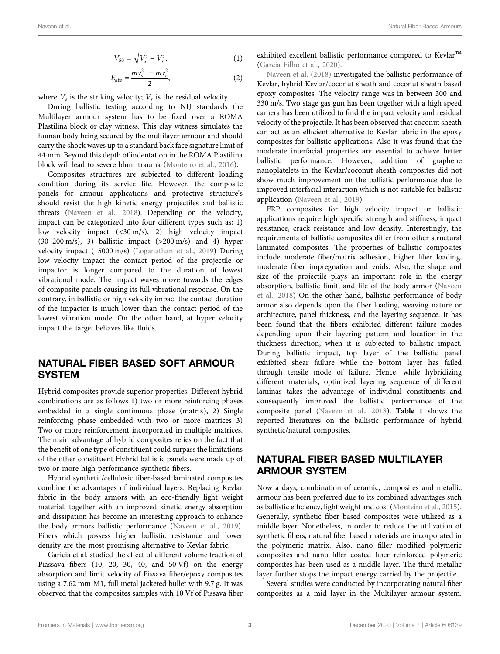$$
V_{50} = \sqrt{V_s^2 - V_r^2},\tag{1}
$$

$$
E_{abs} = \frac{mv_s^2 - mv_r^2}{2},
$$
 (2)

<span id="page-2-0"></span>where  $V_s$  is the striking velocity;  $V_r$  is the residual velocity.

During ballistic testing according to NIJ standards the Multilayer armour system has to be fixed over a ROMA Plastilina block or clay witness. This clay witness simulates the human body being secured by the multilayer armour and should carry the shock waves up to a standard back face signature limit of 44 mm. Beyond this depth of indentation in the ROMA Plastilina block will lead to severe blunt trauma ([Monteiro et al., 2016\)](#page-5-3).

Composites structures are subjected to different loading condition during its service life. However, the composite panels for armour applications and protective structure's should resist the high kinetic energy projectiles and ballistic threats ([Naveen et al., 2018\)](#page-5-2). Depending on the velocity, impact can be categorized into four different types such as; 1) low velocity impact (<30 m/s), 2) high velocity impact  $(30-200 \text{ m/s})$ , 3) ballistic impact  $(>200 \text{ m/s})$  and 4) hyper velocity impact (15000 m/s) ([Loganathan et al., 2019](#page-4-4)) During low velocity impact the contact period of the projectile or impactor is longer compared to the duration of lowest vibrational mode. The impact waves move towards the edges of composite panels causing its full vibrational response. On the contrary, in ballistic or high velocity impact the contact duration of the impactor is much lower than the contact period of the lowest vibration mode. On the other hand, at hyper velocity impact the target behaves like fluids.

## NATURAL FIBER BASED SOFT ARMOUR SYSTEM

Hybrid composites provide superior properties. Different hybrid combinations are as follows 1) two or more reinforcing phases embedded in a single continuous phase (matrix), 2) Single reinforcing phase embedded with two or more matrices 3) Two or more reinforcement incorporated in multiple matrices. The main advantage of hybrid composites relies on the fact that the benefit of one type of constituent could surpass the limitations of the other constituent Hybrid ballistic panels were made up of two or more high performance synthetic fibers.

Hybrid synthetic/cellulosic fiber-based laminated composites combine the advantages of individual layers. Replacing Kevlar fabric in the body armors with an eco-friendly light weight material, together with an improved kinetic energy absorption and dissipation has become an interesting approach to enhance the body armors ballistic performance ([Naveen et al., 2019\)](#page-5-0). Fibers which possess higher ballistic resistance and lower density are the most promising alternative to Kevlar fabric.

Garicia et al. studied the effect of different volume fraction of Piassava fibers (10, 20, 30, 40, and 50 Vf) on the energy absorption and limit velocity of Pissava fiber/epoxy composites using a 7.62 mm M1, full metal jacketed bullet with 9.7 g. It was observed that the composites samples with 10 Vf of Pissava fiber

exhibited excellent ballistic performance compared to Kevlar™ [\(Garcia Filho et al., 2020\)](#page-4-5).

[Naveen et al. \(2018\)](#page-5-4) investigated the ballistic performance of Kevlar, hybrid Kevlar/coconut sheath and coconut sheath based epoxy composites. The velocity range was in between 300 and 330 m/s. Two stage gas gun has been together with a high speed camera has been utilized to find the impact velocity and residual velocity of the projectile. It has been observed that coconut sheath can act as an efficient alternative to Kevlar fabric in the epoxy composites for ballistic applications. Also it was found that the moderate interfacial properties are essential to achieve better ballistic performance. However, addition of graphene nanoplatelets in the Kevlar/coconut sheath composites did not show much improvement on the ballistic performance due to improved interfacial interaction which is not suitable for ballistic application ([Naveen et al., 2019](#page-5-0)).

FRP composites for high velocity impact or ballistic applications require high specific strength and stiffness, impact resistance, crack resistance and low density. Interestingly, the requirements of ballistic composites differ from other structural laminated composites. The properties of ballistic composites include moderate fiber/matrix adhesion, higher fiber loading, moderate fiber impregnation and voids. Also, the shape and size of the projectile plays an important role in the energy absorption, ballistic limit, and life of the body armor [\(Naveen](#page-5-2) [et al., 2018](#page-5-2)) On the other hand, ballistic performance of body armor also depends upon the fiber loading, weaving nature or architecture, panel thickness, and the layering sequence. It has been found that the fibers exhibited different failure modes depending upon their layering pattern and location in the thickness direction, when it is subjected to ballistic impact. During ballistic impact, top layer of the ballistic panel exhibited shear failure while the bottom layer has failed through tensile mode of failure. Hence, while hybridizing different materials, optimized layering sequence of different laminas takes the advantage of individual constituents and consequently improved the ballistic performance of the composite panel ([Naveen et al., 2018\)](#page-5-4). [Table 1](#page-3-0) shows the reported literatures on the ballistic performance of hybrid synthetic/natural composites.

# NATURAL FIBER BASED MULTILAYER ARMOUR SYSTEM

Now a days, combination of ceramic, composites and metallic armour has been preferred due to its combined advantages such as ballistic efficiency, light weight and cost ([Monteiro et al., 2015\)](#page-5-6). Generally, synthetic fiber based composites were utilized as a middle layer. Nonetheless, in order to reduce the utilization of synthetic fibers, natural fiber based materials are incorporated in the polymeric matrix. Also, nano filler modified polymeric composites and nano filler coated fiber reinforced polymeric composites has been used as a middle layer. The third metallic layer further stops the impact energy carried by the projectile.

Several studies were conducted by incorporating natural fiber composites as a mid layer in the Multilayer armour system.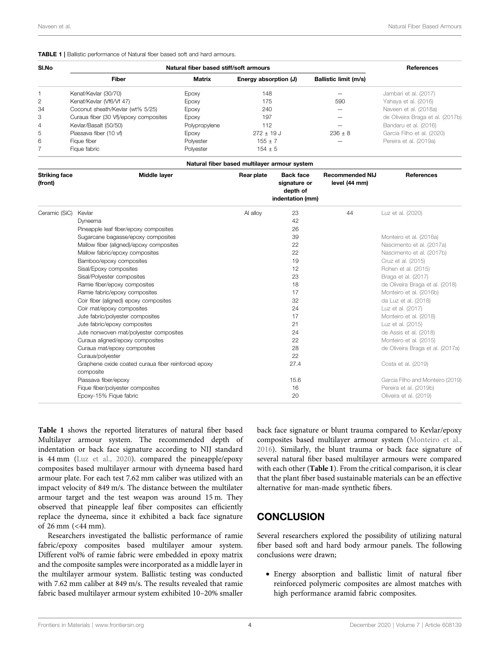#### <span id="page-3-0"></span>TABLE 1 | Ballistic performance of Natural fiber based soft and hard armours.

| SI.No | Natural fiber based stiff/soft armours | References    |                       |                       |                                  |
|-------|----------------------------------------|---------------|-----------------------|-----------------------|----------------------------------|
|       | <b>Fiber</b>                           | Matrix        | Energy absorption (J) | Ballistic limit (m/s) |                                  |
|       | Kenaf/Kevlar (30/70)                   | Epoxy         | 148                   |                       | Jambari et al. (2017)            |
| 2     | Kenaf/Kevlar (Vf6/Vf 47)               | Epoxy         | 175                   | 590                   | Yahaya et al. (2016)             |
| 34    | Coconut sheath/Kevlar (wt% 5/25)       | Epoxy         | 240                   |                       | Naveen et al. (2018a)            |
| 3     | Curaua fiber (30 Vf)/epoxy composites  | Epoxy         | 197                   |                       | de Oliveira Braga et al. (2017b) |
| 4     | Kevlar/Basalt (50/50)                  | Polypropylene | 112                   |                       | Bandaru et al. (2016)            |
| 5     | Piassava fiber (10 vf)                 | Epoxy         | $272 \pm 19$ J        | $236 + 8$             | Garcia Filho et al. (2020)       |
| 6     | Figue fiber                            | Polyester     | $155 \pm 7$           |                       | Pereira et al. (2019a)           |
|       | Figue fabric                           | Polyester     | $154 \pm 5$           |                       |                                  |

| Natural fiber based multilayer armour system |                                                     |            |                                                                  |                                         |                                  |  |  |  |
|----------------------------------------------|-----------------------------------------------------|------------|------------------------------------------------------------------|-----------------------------------------|----------------------------------|--|--|--|
| <b>Striking face</b><br>(front)              | Middle layer                                        | Rear plate | <b>Back face</b><br>signature or<br>depth of<br>indentation (mm) | <b>Recommended NIJ</b><br>level (44 mm) | <b>References</b>                |  |  |  |
| Ceramic (SiC)                                | Kevlar                                              | Al alloy   | 23                                                               | 44                                      | Luz et al. (2020)                |  |  |  |
|                                              | Dyneema                                             |            | 42                                                               |                                         |                                  |  |  |  |
|                                              | Pineapple leaf fiber/epoxy composites               |            | 26                                                               |                                         |                                  |  |  |  |
|                                              | Sugarcane bagasse/epoxy composites                  |            | 39                                                               |                                         | Monteiro et al. (2016a)          |  |  |  |
|                                              | Mallow fiber (aligned)/epoxy composites             |            | 22                                                               |                                         | Nascimento et al. (2017a)        |  |  |  |
|                                              | Mallow fabric/epoxy composites                      |            | 22                                                               |                                         | Nascimento et al. (2017b)        |  |  |  |
|                                              | Bamboo/epoxy composites                             |            | 19                                                               |                                         | Cruz et al. (2015)               |  |  |  |
|                                              | Sisal/Epoxy composites                              |            | 12                                                               |                                         | Rohen et al. (2015)              |  |  |  |
|                                              | Sisal/Polyester composites                          |            | 23                                                               |                                         | Braga et al. (2017)              |  |  |  |
|                                              | Ramie fiber/epoxy composites                        |            | 18                                                               |                                         | de Oliveira Braga et al. (2018)  |  |  |  |
|                                              | Ramie fabric/epoxy composites                       |            | 17                                                               |                                         | Monteiro et al. (2016b)          |  |  |  |
|                                              | Coir fiber (aligned) epoxy composites               |            | 32                                                               |                                         | da Luz et al. (2018)             |  |  |  |
|                                              | Coir mat/epoxy composites                           |            | 24                                                               |                                         | Luz et al. (2017)                |  |  |  |
|                                              | Jute fabric/polyester composites                    |            | 17                                                               |                                         | Monteiro et al. (2018)           |  |  |  |
|                                              | Jute fabric/epoxy composites                        |            | 21                                                               |                                         | Luz et al. (2015)                |  |  |  |
|                                              | Jute nonwoven mat/polyester composites              |            | 24                                                               |                                         | de Assis et al. (2018)           |  |  |  |
|                                              | Curaua aligned/epoxy composites                     |            | 22                                                               |                                         | Monteiro et al. (2015)           |  |  |  |
|                                              | Curaua mat/epoxy composites                         |            | 28                                                               |                                         | de Oliveira Braga et al. (2017a) |  |  |  |
|                                              | Curaua/polyester                                    |            | 22                                                               |                                         |                                  |  |  |  |
|                                              | Graphene oxide coated curaua fiber reinforced epoxy |            | 27.4                                                             |                                         | Costa et al. (2019)              |  |  |  |

[Table 1](#page-3-0) shows the reported literatures of natural fiber based Multilayer armour system. The recommended depth of indentation or back face signature according to NIJ standard is 44 mm [\(Luz et al., 2020](#page-4-6)). compared the pineapple/epoxy composites based multilayer armour with dyneema based hard armour plate. For each test 7.62 mm caliber was utilized with an impact velocity of 849 m/s. The distance between the multilater armour target and the test weapon was around 15 m. They observed that pineapple leaf fiber composites can efficiently replace the dyneema, since it exhibited a back face signature of 26 mm (<44 mm).

Researchers investigated the ballistic performance of ramie fabric/epoxy composites based multilayer amour system. Different vol% of ramie fabric were embedded in epoxy matrix and the composite samples were incorporated as a middle layer in the multilayer armour system. Ballistic testing was conducted with 7.62 mm caliber at 849 m/s. The results revealed that ramie fabric based multilayer armour system exhibited 10–20% smaller back face signature or blunt trauma compared to Kevlar/epoxy composites based multilayer armour system ([Monteiro et al.,](#page-5-3) [2016](#page-5-3)). Similarly, the blunt trauma or back face signature of several natural fiber based multilayer armours were compared with each other ([Table 1](#page-3-0)). From the critical comparison, it is clear that the plant fiber based sustainable materials can be an effective alternative for man-made synthetic fibers.

# **CONCLUSION**

Piassava fiber/epoxy and Monteiro (2019) 15.6 [Garcia Filho and Monteiro \(2019\)](#page-4-17) Fique fiber/polyester composites 16 [Pereira et al. \(2019b\)](#page-5-16) Epoxy-15% Fique fabric 20 [Oliveira et al. \(2019\)](#page-5-17)

> Several researchers explored the possibility of utilizing natural fiber based soft and hard body armour panels. The following conclusions were drawn;

• Energy absorption and ballistic limit of natural fiber reinforced polymeric composites are almost matches with high performance aramid fabric composites.

composite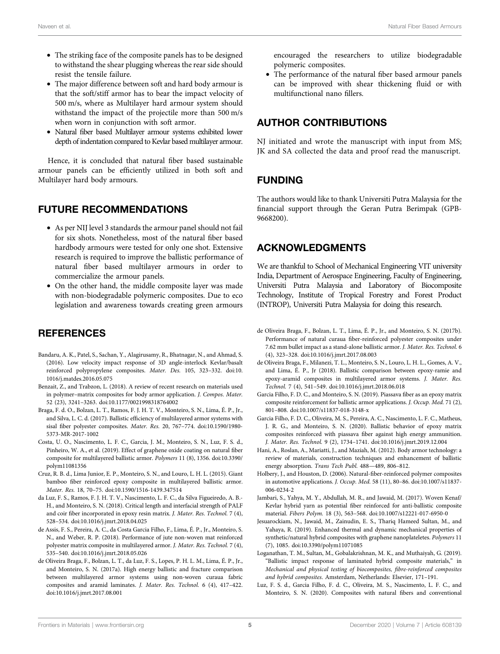- The striking face of the composite panels has to be designed to withstand the shear plugging whereas the rear side should resist the tensile failure.
- The major difference between soft and hard body armour is that the soft/stiff armor has to bear the impact velocity of 500 m/s, where as Multilayer hard armour system should withstand the impact of the projectile more than 500 m/s when worn in conjunction with soft armor.
- Natural fiber based Multilayer armour systems exhibited lower depth of indentation compared to Kevlar based multilayer armour.

Hence, it is concluded that natural fiber based sustainable armour panels can be efficiently utilized in both soft and Multilayer hard body armours.

## FUTURE RECOMMENDATIONS

- As per NIJ level 3 standards the armour panel should not fail for six shots. Nonetheless, most of the natural fiber based hardbody armours were tested for only one shot. Extensive research is required to improve the ballistic performance of natural fiber based multilayer armours in order to commercialize the armour panels.
- On the other hand, the middle composite layer was made with non-biodegradable polymeric composites. Due to eco legislation and awareness towards creating green armours

# **REFERENCES**

- <span id="page-4-9"></span>Bandaru, A. K., Patel, S., Sachan, Y., Alagirusamy, R., Bhatnagar, N., and Ahmad, S. (2016). Low velocity impact response of 3D angle-interlock Kevlar/basalt reinforced polypropylene composites. Mater. Des. 105, 323–332. doi[:10.](https://doi.org/10.1016/j.matdes.2016.05.075) [1016/j.matdes.2016.05.075](https://doi.org/10.1016/j.matdes.2016.05.075)
- <span id="page-4-3"></span>Benzait, Z., and Trabzon, L. (2018). A review of recent research on materials used in polymer–matrix composites for body armor application. J. Compos. Mater. 52 (23), 3241–3263. doi[:10.1177/0021998318764002](https://doi.org/10.1177/0021998318764002)
- <span id="page-4-11"></span>Braga, F. d. O., Bolzan, L. T., Ramos, F. J. H. T. V., Monteiro, S. N., Lima, É. P., Jr., and Silva, L. C. d. (2017). Ballistic efficiency of multilayered armor systems with sisal fiber polyester composites. Mater. Res. 20, 767–774. doi:[10.1590/1980-](https://doi.org/10.1590/1980-5373-MR-2017-1002) [5373-MR-2017-1002](https://doi.org/10.1590/1980-5373-MR-2017-1002)
- <span id="page-4-16"></span>Costa, U. O., Nascimento, L. F. C., Garcia, J. M., Monteiro, S. N., Luz, F. S. d., Pinheiro, W. A., et al. (2019). Effect of graphene oxide coating on natural fiber composite for multilayered ballistic armor. Polymers 11 (8), 1356. doi:[10.3390/](https://doi.org/10.3390/polym11081356) [polym11081356](https://doi.org/10.3390/polym11081356)
- <span id="page-4-10"></span>Cruz, R. B. d., Lima Junior, E. P., Monteiro, S. N., and Louro, L. H. L. (2015). Giant bamboo fiber reinforced epoxy composite in multilayered ballistic armor. Mater. Res. 18, 70–75. doi:[10.1590/1516-1439.347514](https://doi.org/10.1590/1516-1439.347514)
- <span id="page-4-13"></span>da Luz, F. S., Ramos, F. J. H. T. V., Nascimento, L. F. C., da Silva Figueiredo, A. B.- H., and Monteiro, S. N. (2018). Critical length and interfacial strength of PALF and coir fiber incorporated in epoxy resin matrix. J. Mater. Res. Technol. 7 (4), 528–534. doi:[10.1016/j.jmrt.2018.04.025](https://doi.org/10.1016/j.jmrt.2018.04.025)
- <span id="page-4-14"></span>de Assis, F. S., Pereira, A. C., da Costa Garcia Filho, F., Lima, É. P., Jr., Monteiro, S. N., and Weber, R. P. (2018). Performance of jute non-woven mat reinforced polyester matrix composite in multilayered armor. J. Mater. Res. Technol. 7 (4), 535–540. doi:[10.1016/j.jmrt.2018.05.026](https://doi.org/10.1016/j.jmrt.2018.05.026)
- <span id="page-4-15"></span>de Oliveira Braga, F., Bolzan, L. T., da Luz, F. S., Lopes, P. H. L. M., Lima, É. P., Jr., and Monteiro, S. N. (2017a). High energy ballistic and fracture comparison between multilayered armor systems using non-woven curaua fabric composites and aramid laminates. J. Mater. Res. Technol. 6 (4), 417–422. doi:[10.1016/j.jmrt.2017.08.001](https://doi.org/10.1016/j.jmrt.2017.08.001)

encouraged the researchers to utilize biodegradable polymeric composites.

• The performance of the natural fiber based armour panels can be improved with shear thickening fluid or with multifunctional nano fillers.

# AUTHOR CONTRIBUTIONS

NJ initiated and wrote the manuscript with input from MS; JK and SA collected the data and proof read the manuscript.

## FUNDING

The authors would like to thank Universiti Putra Malaysia for the financial support through the Geran Putra Berimpak (GPB-9668200).

## ACKNOWLEDGMENTS

We are thankful to School of Mechanical Engineering VIT university India, Department of Aerospace Engineering, Faculty of Engineering, Universiti Putra Malaysia and Laboratory of Biocomposite Technology, Institute of Tropical Forestry and Forest Product (INTROP), Universiti Putra Malaysia for doing this research.

- <span id="page-4-8"></span>de Oliveira Braga, F., Bolzan, L. T., Lima, É. P., Jr., and Monteiro, S. N. (2017b). Performance of natural curaua fiber-reinforced polyester composites under 7.62 mm bullet impact as a stand-alone ballistic armor. J. Mater. Res. Technol. 6 (4), 323–328. doi:[10.1016/j.jmrt.2017.08.003](https://doi.org/10.1016/j.jmrt.2017.08.003)
- <span id="page-4-12"></span>de Oliveira Braga, F., Milanezi, T. L., Monteiro, S. N., Louro, L. H. L., Gomes, A. V., and Lima, É. P., Jr (2018). Ballistic comparison between epoxy-ramie and epoxy-aramid composites in multilayered armor systems. J. Mater. Res. Technol. 7 (4), 541–549. doi[:10.1016/j.jmrt.2018.06.018](https://doi.org/10.1016/j.jmrt.2018.06.018)
- <span id="page-4-17"></span>Garcia Filho, F. D. C., and Monteiro, S. N. (2019). Piassava fiber as an epoxy matrix composite reinforcement for ballistic armor applications. J. Occup. Med. 71 (2), 801–808. doi:[10.1007/s11837-018-3148-x](https://doi.org/10.1007/s11837-018-3148-x)
- <span id="page-4-5"></span>Garcia Filho, F. D. C., Oliveira, M. S., Pereira, A. C., Nascimento, L. F. C., Matheus, J. R. G., and Monteiro, S. N. (2020). Ballistic behavior of epoxy matrix composites reinforced with piassava fiber against high energy ammunition. J. Mater. Res. Technol. 9 (2), 1734–1741. doi[:10.1016/j.jmrt.2019.12.004](https://doi.org/10.1016/j.jmrt.2019.12.004)
- <span id="page-4-0"></span>Hani, A., Roslan, A., Mariatti, J., and Maziah, M. (2012). Body armor technology: a review of materials, construction techniques and enhancement of ballistic energy absorption. Trans Tech Publ. 488—489, 806–812.
- <span id="page-4-2"></span>Holbery, J., and Houston, D. (2006). Natural-fiber-reinforced polymer composites in automotive applications. J. Occup. Med. 58 (11), 80–86. doi[:10.1007/s11837-](https://doi.org/10.1007/s11837-006-0234-2) [006-0234-2](https://doi.org/10.1007/s11837-006-0234-2)
- <span id="page-4-7"></span>Jambari, S., Yahya, M. Y., Abdullah, M. R., and Jawaid, M. (2017). Woven Kenaf/ Kevlar hybrid yarn as potential fiber reinforced for anti-ballistic composite material. Fibers Polym. 18 (3), 563–568. doi:[10.1007/s12221-017-6950-0](https://doi.org/10.1007/s12221-017-6950-0)
- <span id="page-4-1"></span>Jesuarockiam, N., Jawaid, M., Zainudin, E. S., Thariq Hameed Sultan, M., and Yahaya, R. (2019). Enhanced thermal and dynamic mechanical properties of synthetic/natural hybrid composites with graphene nanoplateletes. Polymers 11 (7), 1085. doi:[10.3390/polym11071085](https://doi.org/10.3390/polym11071085)
- <span id="page-4-4"></span>Loganathan, T. M., Sultan, M., Gobalakrishnan, M. K., and Muthaiyah, G. (2019). "Ballistic impact response of laminated hybrid composite materials," in Mechanical and physical testing of biocomposites, fibre-reinforced composites and hybrid composites. Amsterdam, Netherlands: Elsevier, 171–191.
- <span id="page-4-6"></span>Luz, F. S. d., Garcia Filho, F. d. C., Oliveira, M. S., Nascimento, L. F. C., and Monteiro, S. N. (2020). Composites with natural fibers and conventional